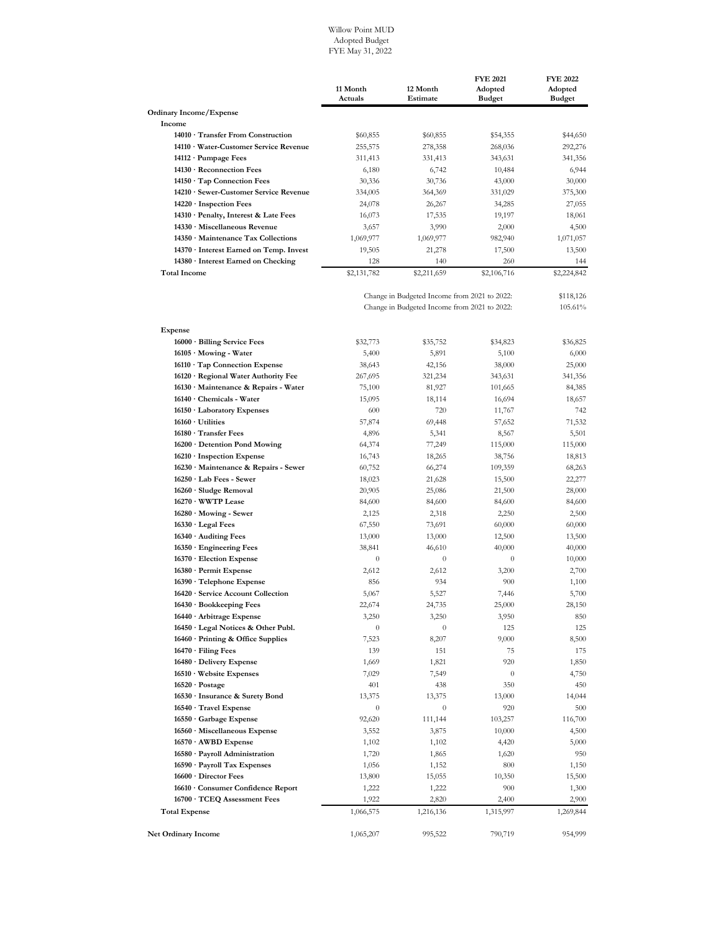## Willow Point MUD Adopted Budget FYE May 31, 2022

|                                           | 11 Month<br>Actuals | 12 Month<br>Estimate | <b>FYE 2021</b><br>Adopted<br><b>Budget</b> | <b>FYE 2022</b><br>Adopted<br><b>Budget</b> |
|-------------------------------------------|---------------------|----------------------|---------------------------------------------|---------------------------------------------|
| <b>Ordinary Income/Expense</b>            |                     |                      |                                             |                                             |
| Income                                    |                     |                      |                                             |                                             |
| 14010 · Transfer From Construction        | \$60,855            | \$60,855             | \$54,355                                    | \$44,650                                    |
| 14110 · Water-Customer Service Revenue    | 255,575             | 278,358              | 268,036                                     | 292,276                                     |
| $14112 \cdot$ Pumpage Fees                | 311,413             | 331,413              | 343,631                                     | 341,356                                     |
| 14130 · Reconnection Fees                 | 6,180               | 6,742                | 10,484                                      | 6,944                                       |
| 14150 · Tap Connection Fees               | 30,336              | 30,736               | 43,000                                      | 30,000                                      |
| 14210 · Sewer-Customer Service Revenue    | 334,005             | 364,369              | 331,029                                     | 375,300                                     |
| $14220 \cdot$ Inspection Fees             | 24,078              | 26,267               | 34,285                                      | 27,055                                      |
| 14310 · Penalty, Interest & Late Fees     | 16,073              | 17,535               | 19,197                                      | 18,061                                      |
| 14330 · Miscellaneous Revenue             | 3,657               | 3,990                | 2,000                                       | 4,500                                       |
| $14350 \cdot$ Maintenance Tax Collections | 1,069,977           | 1,069,977            | 982,940                                     | 1,071,057                                   |
| 14370 · Interest Earned on Temp. Invest   | 19,505              | 21,278               | 17,500                                      | 13,500                                      |
| 14380 · Interest Earned on Checking       | 128                 | 140                  | 260                                         | 144                                         |
| <b>Total Income</b>                       | \$2,131,782         | \$2,211,659          | \$2,106,716                                 | \$2,224,842                                 |

|                                          | Change in Budgeted Income from 2021 to 2022: |                  |           | 105.61%   |
|------------------------------------------|----------------------------------------------|------------------|-----------|-----------|
| <b>Expense</b>                           |                                              |                  |           |           |
| 16000 · Billing Service Fees             | \$32,773                                     | \$35,752         | \$34,823  | \$36,825  |
| 16105 · Mowing - Water                   | 5,400                                        | 5,891            | 5,100     | 6,000     |
| 16110 · Tap Connection Expense           | 38,643                                       | 42,156           | 38,000    | 25,000    |
| 16120 · Regional Water Authority Fee     | 267,695                                      | 321,234          | 343,631   | 341,356   |
| 16130 Maintenance & Repairs - Water      | 75,100                                       | 81,927           | 101,665   | 84,385    |
| 16140 · Chemicals - Water                | 15,095                                       | 18,114           | 16,694    | 18,657    |
| 16150 · Laboratory Expenses              | 600                                          | 720              | 11,767    | 742       |
| $16160 \cdot$ Utilities                  | 57,874                                       | 69,448           | 57,652    | 71,532    |
| 16180 · Transfer Fees                    | 4,896                                        | 5,341            | 8,567     | 5,501     |
| 16200 · Detention Pond Mowing            | 64,374                                       | 77,249           | 115,000   | 115,000   |
| $16210 \cdot$ Inspection Expense         | 16,743                                       | 18,265           | 38,756    | 18,813    |
| 16230 · Maintenance & Repairs - Sewer    | 60,752                                       | 66,274           | 109,359   | 68,263    |
| $16250 \cdot$ Lab Fees - Sewer           | 18,023                                       | 21,628           | 15,500    | 22,277    |
| 16260 · Sludge Removal                   | 20,905                                       | 25,086           | 21,500    | 28,000    |
| 16270 · WWTP Lease                       | 84,600                                       | 84,600           | 84,600    | 84,600    |
| 16280 Mowing - Sewer                     | 2,125                                        | 2,318            | 2,250     | 2,500     |
| $16330 \cdot$ Legal Fees                 | 67,550                                       | 73,691           | 60,000    | 60,000    |
| 16340 · Auditing Fees                    | 13,000                                       | 13,000           | 12,500    | 13,500    |
| $16350 \cdot$ Engineering Fees           | 38,841                                       | 46,610           | 40,000    | 40,000    |
| 16370 · Election Expense                 | $\boldsymbol{0}$                             | $\boldsymbol{0}$ | $\theta$  | 10,000    |
| 16380 · Permit Expense                   | 2,612                                        | 2,612            | 3,200     | 2,700     |
| $16390 \cdot$ Telephone Expense          | 856                                          | 934              | 900       | 1,100     |
| 16420 · Service Account Collection       | 5,067                                        | 5,527            | 7,446     | 5,700     |
| 16430 · Bookkeeping Fees                 | 22,674                                       | 24,735           | 25,000    | 28,150    |
| 16440 · Arbitrage Expense                | 3,250                                        | 3,250            | 3,950     | 850       |
| 16450 · Legal Notices & Other Publ.      | $\boldsymbol{0}$                             | $\boldsymbol{0}$ | 125       | 125       |
| $16460 \cdot$ Printing & Office Supplies | 7,523                                        | 8,207            | 9,000     | 8,500     |
| $16470 \cdot$ Filing Fees                | 139                                          | 151              | 75        | 175       |
| 16480 · Delivery Expense                 | 1,669                                        | 1,821            | 920       | 1,850     |
| $16510 \cdot$ Website Expenses           | 7,029                                        | 7,549            | $\theta$  | 4,750     |
| $16520 \cdot \text{Postage}$             | 401                                          | 438              | 350       | 450       |
| 16530 · Insurance & Surety Bond          | 13,375                                       | 13,375           | 13,000    | 14,044    |
| 16540 · Travel Expense                   | $\theta$                                     | $\theta$         | 920       | 500       |
| 16550 Garbage Expense                    | 92,620                                       | 111,144          | 103,257   | 116,700   |
| 16560 · Miscellaneous Expense            | 3,552                                        | 3,875            | 10,000    | 4,500     |
| $16570 \cdot \text{AWBD}$ Expense        | 1,102                                        | 1,102            | 4,420     | 5,000     |
| 16580 · Payroll Administration           | 1,720                                        | 1,865            | 1,620     | 950       |
| 16590 · Payroll Tax Expenses             | 1,056                                        | 1,152            | 800       | 1,150     |
| 16600 · Director Fees                    | 13,800                                       | 15,055           | 10,350    | 15,500    |
| 16610 Consumer Confidence Report         | 1,222                                        | 1,222            | 900       | 1,300     |
| 16700 · TCEQ Assessment Fees             | 1,922                                        | 2,820            | 2,400     | 2,900     |
| <b>Total Expense</b>                     | 1,066,575                                    | 1,216,136        | 1,315,997 | 1,269,844 |
| <b>Net Ordinary Income</b>               | 1,065,207                                    | 995,522          | 790,719   | 954,999   |
|                                          |                                              |                  |           |           |

Change in Budgeted Income from 2021 to 2022: \$118,126